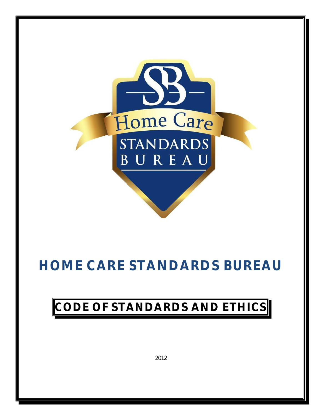

# **HOME CARE STANDARDS BUREAU**

# **CODE OF STANDARDS AND ETHICS**

2012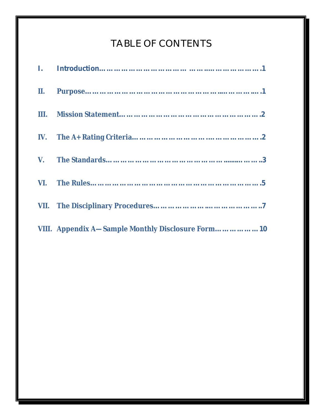# TABLE OF CONTENTS

| П. |                                                   |
|----|---------------------------------------------------|
|    |                                                   |
|    |                                                   |
|    |                                                   |
|    |                                                   |
|    |                                                   |
|    | VIII. Appendix A-Sample Monthly Disclosure Form10 |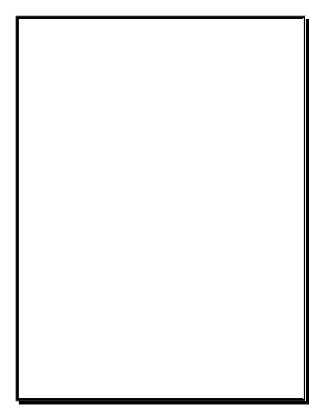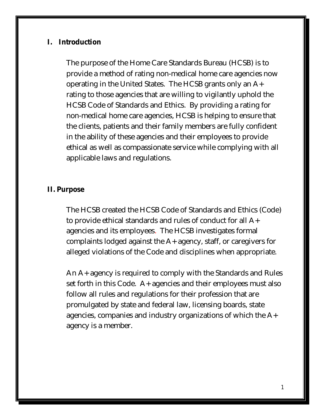# **I. Introduction**

The purpose of the Home Care Standards Bureau (HCSB) is to provide a method of rating non-medical home care agencies now operating in the United States. The HCSB grants only an A+ rating to those agencies that are willing to vigilantly uphold the HCSB Code of Standards and Ethics. By providing a rating for non-medical home care agencies, HCSB is helping to ensure that the clients, patients and their family members are fully confident in the ability of these agencies and their employees to provide ethical as well as compassionate service while complying with all applicable laws and regulations.

## **II. Purpose**

The HCSB created the HCSB Code of Standards and Ethics (Code) to provide ethical standards and rules of conduct for all A+ agencies and its employees. The HCSB investigates formal complaints lodged against the A+ agency, staff, or caregivers for alleged violations of the Code and disciplines when appropriate.

An A+ agency is required to comply with the Standards and Rules set forth in this Code. A+ agencies and their employees must also follow all rules and regulations for their profession that are promulgated by state and federal law, licensing boards, state agencies, companies and industry organizations of which the A+ agency is a member.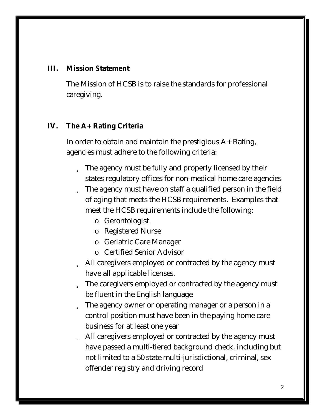#### **III. Mission Statement**

The Mission of HCSB is to raise the standards for professional caregiving.

## **IV. The A+ Rating Criteria**

In order to obtain and maintain the prestigious A+ Rating, agencies must adhere to the following criteria:

- ü The agency must be fully and properly licensed by their states regulatory offices for non-medical home care agencies
- ü The agency must have on staff a qualified person in the field of aging that meets the HCSB requirements. Examples that meet the HCSB requirements include the following:
	- o Gerontologist
	- o Registered Nurse
	- o Geriatric Care Manager
	- o Certified Senior Advisor
- ü All caregivers employed or contracted by the agency must have all applicable licenses.
- ü The caregivers employed or contracted by the agency must be fluent in the English language
- ü The agency owner or operating manager or a person in a control position must have been in the paying home care business for at least one year
- ü All caregivers employed or contracted by the agency must have passed a multi-tiered background check, including but not limited to a 50 state multi-jurisdictional, criminal, sex offender registry and driving record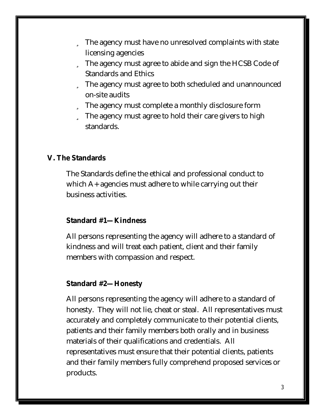- ü The agency must have no unresolved complaints with state licensing agencies
- ü The agency must agree to abide and sign the HCSB Code of Standards and Ethics
- ü The agency must agree to both scheduled and unannounced on-site audits
- ü The agency must complete a monthly disclosure form
- ü The agency must agree to hold their care givers to high standards.

## **V. The Standards**

The Standards define the ethical and professional conduct to which A+ agencies must adhere to while carrying out their business activities.

#### **Standard #1—Kindness**

All persons representing the agency will adhere to a standard of kindness and will treat each patient, client and their family members with compassion and respect.

#### **Standard #2—Honesty**

All persons representing the agency will adhere to a standard of honesty. They will not lie, cheat or steal. All representatives must accurately and completely communicate to their potential clients, patients and their family members both orally and in business materials of their qualifications and credentials. All representatives must ensure that their potential clients, patients and their family members fully comprehend proposed services or products.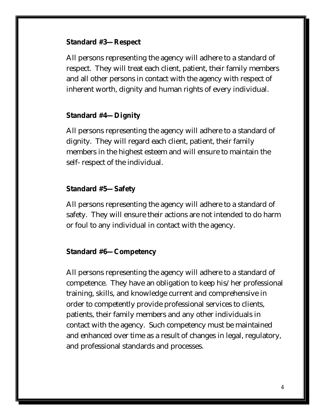## **Standard #3—Respect**

All persons representing the agency will adhere to a standard of respect. They will treat each client, patient, their family members and all other persons in contact with the agency with respect of inherent worth, dignity and human rights of every individual.

#### **Standard #4—Dignity**

All persons representing the agency will adhere to a standard of dignity. They will regard each client, patient, their family members in the highest esteem and will ensure to maintain the self- respect of the individual.

#### **Standard #5—Safety**

All persons representing the agency will adhere to a standard of safety. They will ensure their actions are not intended to do harm or foul to any individual in contact with the agency.

**Standard #6—Competency** 

All persons representing the agency will adhere to a standard of competence. They have an obligation to keep his/her professional training, skills, and knowledge current and comprehensive in order to competently provide professional services to clients, patients, their family members and any other individuals in contact with the agency. Such competency must be maintained and enhanced over time as a result of changes in legal, regulatory, and professional standards and processes.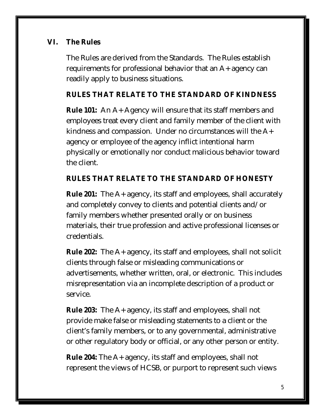# **VI. The Rules**

The Rules are derived from the Standards. The Rules establish requirements for professional behavior that an A+ agency can readily apply to business situations.

# **RULES THAT RELATE TO THE STANDARD OF KINDNESS**

**Rule 101:** An A+ Agency will ensure that its staff members and employees treat every client and family member of the client with kindness and compassion. Under no circumstances will the A+ agency or employee of the agency inflict intentional harm physically or emotionally nor conduct malicious behavior toward the client.

# **RULES THAT RELATE TO THE STANDARD OF HONESTY**

**Rule 201:** The A+ agency, its staff and employees, shall accurately and completely convey to clients and potential clients and/or family members whether presented orally or on business materials, their true profession and active professional licenses or credentials.

**Rule 202:** The A+ agency, its staff and employees, shall not solicit clients through false or misleading communications or advertisements, whether written, oral, or electronic. This includes misrepresentation via an incomplete description of a product or service.

**Rule 203:** The A+ agency, its staff and employees, shall not provide make false or misleading statements to a client or the client's family members, or to any governmental, administrative or other regulatory body or official, or any other person or entity.

**Rule 204:** The A+ agency, its staff and employees, shall not represent the views of HCSB, or purport to represent such views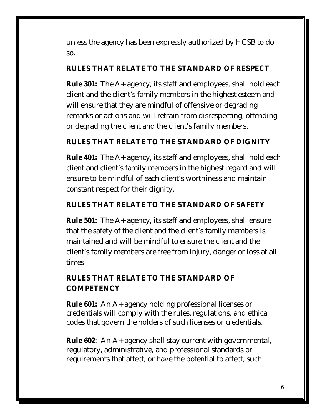unless the agency has been expressly authorized by HCSB to do so.

# **RULES THAT RELATE TO THE STANDARD OF RESPECT**

**Rule 301:** The A+ agency, its staff and employees, shall hold each client and the client's family members in the highest esteem and will ensure that they are mindful of offensive or degrading remarks or actions and will refrain from disrespecting, offending or degrading the client and the client's family members.

# **RULES THAT RELATE TO THE STANDARD OF DIGNITY**

**Rule 401:** The A+ agency, its staff and employees, shall hold each client and client's family members in the highest regard and will ensure to be mindful of each client's worthiness and maintain constant respect for their dignity.

# **RULES THAT RELATE TO THE STANDARD OF SAFETY**

**Rule 501:** The A+ agency, its staff and employees, shall ensure that the safety of the client and the client's family members is maintained and will be mindful to ensure the client and the client's family members are free from injury, danger or loss at all times.

# **RULES THAT RELATE TO THE STANDARD OF COMPETENCY**

**Rule 601:** An A+ agency holding professional licenses or credentials will comply with the rules, regulations, and ethical codes that govern the holders of such licenses or credentials.

**Rule 602**: An A+ agency shall stay current with governmental, regulatory, administrative, and professional standards or requirements that affect, or have the potential to affect, such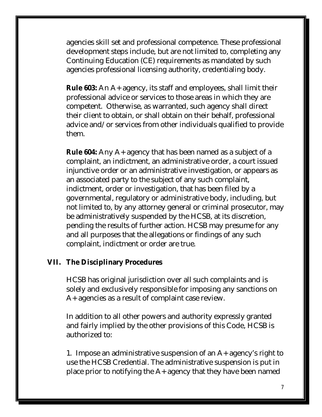agencies skill set and professional competence. These professional development steps include, but are not limited to, completing any Continuing Education (CE) requirements as mandated by such agencies professional licensing authority, credentialing body.

**Rule 603:** An A+ agency, its staff and employees, shall limit their professional advice or services to those areas in which they are competent. Otherwise, as warranted, such agency shall direct their client to obtain, or shall obtain on their behalf, professional advice and/or services from other individuals qualified to provide them.

**Rule 604:** Any A+ agency that has been named as a subject of a complaint, an indictment, an administrative order, a court issued injunctive order or an administrative investigation, or appears as an associated party to the subject of any such complaint, indictment, order or investigation, that has been filed by a governmental, regulatory or administrative body, including, but not limited to, by any attorney general or criminal prosecutor, may be administratively suspended by the HCSB, at its discretion, pending the results of further action. HCSB may presume for any and all purposes that the allegations or findings of any such complaint, indictment or order are true.

#### **VII. The Disciplinary Procedures**

HCSB has original jurisdiction over all such complaints and is solely and exclusively responsible for imposing any sanctions on A+ agencies as a result of complaint case review.

In addition to all other powers and authority expressly granted and fairly implied by the other provisions of this Code, HCSB is authorized to:

1. Impose an administrative suspension of an A+ agency's right to use the HCSB Credential. The administrative suspension is put in place prior to notifying the A+ agency that they have been named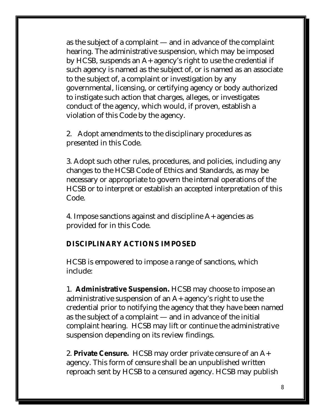as the subject of a complaint — and in advance of the complaint hearing. The administrative suspension, which may be imposed by HCSB, suspends an A+ agency's right to use the credential if such agency is named as the subject of, or is named as an associate to the subject of, a complaint or investigation by any governmental, licensing, or certifying agency or body authorized to instigate such action that charges, alleges, or investigates conduct of the agency, which would, if proven, establish a violation of this Code by the agency.

2. Adopt amendments to the disciplinary procedures as presented in this Code.

3. Adopt such other rules, procedures, and policies, including any changes to the HCSB Code of Ethics and Standards, as may be necessary or appropriate to govern the internal operations of the HCSB or to interpret or establish an accepted interpretation of this Code.

4. Impose sanctions against and discipline A+ agencies as provided for in this Code.

## **DISCIPLINARY ACTIONS IMPOSED**

HCSB is empowered to impose a range of sanctions, which include:

1. **Administrative Suspension.** HCSB may choose to impose an administrative suspension of an A+ agency's right to use the credential prior to notifying the agency that they have been named as the subject of a complaint — and in advance of the initial complaint hearing. HCSB may lift or continue the administrative suspension depending on its review findings.

2. **Private Censure.** HCSB may order private censure of an A+ agency. This form of censure shall be an unpublished written reproach sent by HCSB to a censured agency. HCSB may publish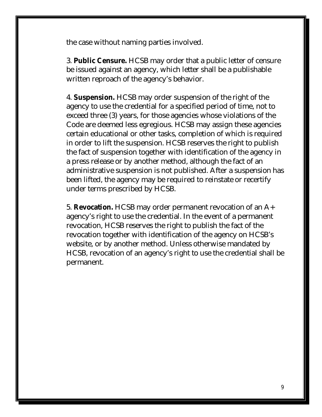the case without naming parties involved.

3. **Public Censure.** HCSB may order that a public letter of censure be issued against an agency, which letter shall be a publishable written reproach of the agency's behavior.

4. **Suspension.** HCSB may order suspension of the right of the agency to use the credential for a specified period of time, not to exceed three (3) years, for those agencies whose violations of the Code are deemed less egregious. HCSB may assign these agencies certain educational or other tasks, completion of which is required in order to lift the suspension. HCSB reserves the right to publish the fact of suspension together with identification of the agency in a press release or by another method, although the fact of an administrative suspension is not published. After a suspension has been lifted, the agency may be required to reinstate or recertify under terms prescribed by HCSB.

5. **Revocation.** HCSB may order permanent revocation of an A+ agency's right to use the credential. In the event of a permanent revocation, HCSB reserves the right to publish the fact of the revocation together with identification of the agency on HCSB's website, or by another method. Unless otherwise mandated by HCSB, revocation of an agency's right to use the credential shall be permanent.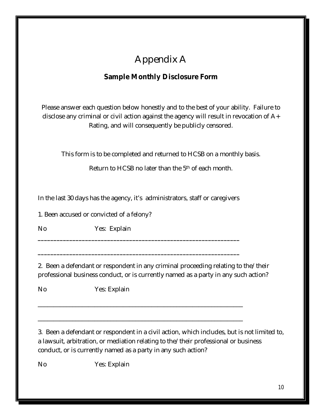# Appendix A

# **Sample Monthly Disclosure Form**

Please answer each question below honestly and to the best of your ability. Failure to disclose any criminal or civil action against the agency will result in revocation of A+ Rating, and will consequently be publicly censored.

This form is to be completed and returned to HCSB on a monthly basis.

Return to HCSB no later than the 5th of each month.

In the last 30 days has the agency, it's administrators, staff or caregivers

**\_\_\_\_\_\_\_\_\_\_\_\_\_\_\_\_\_\_\_\_\_\_\_\_\_\_\_\_\_\_\_\_\_\_\_\_\_\_\_\_\_\_\_\_\_\_\_\_\_\_\_\_\_\_\_\_\_\_\_\_\_\_\_\_** 

**\_\_\_\_\_\_\_\_\_\_\_\_\_\_\_\_\_\_\_\_\_\_\_\_\_\_\_\_\_\_\_\_\_\_\_\_\_\_\_\_\_\_\_\_\_\_\_\_\_\_\_\_\_\_\_\_\_\_\_\_\_\_\_\_** 

\_\_\_\_\_\_\_\_\_\_\_\_\_\_\_\_\_\_\_\_\_\_\_\_\_\_\_\_\_\_\_\_\_\_\_\_\_\_\_\_\_\_\_\_\_\_\_\_\_\_\_\_\_\_\_\_\_\_\_\_\_\_\_\_\_

\_\_\_\_\_\_\_\_\_\_\_\_\_\_\_\_\_\_\_\_\_\_\_\_\_\_\_\_\_\_\_\_\_\_\_\_\_\_\_\_\_\_\_\_\_\_\_\_\_\_\_\_\_\_\_\_\_\_\_\_\_\_\_\_\_

1. Been accused or convicted of a felony?

No Yes: Explain

2. Been a defendant or respondent in any criminal proceeding relating to the/their professional business conduct, or is currently named as a party in any such action?

No Yes: Explain

3. Been a defendant or respondent in a civil action, which includes, but is not limited to, a lawsuit, arbitration, or mediation relating to the/their professional or business conduct, or is currently named as a party in any such action?

No Yes: Explain